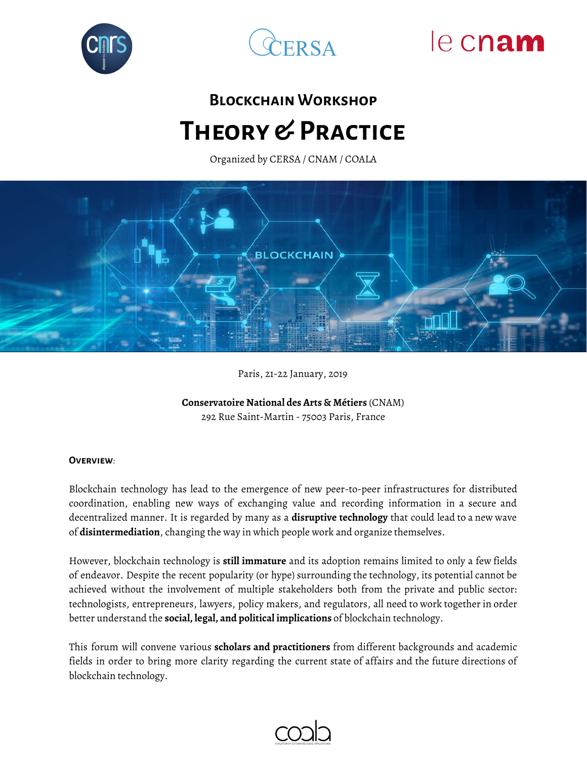



# le cnam

## **Blockchain Workshop Theory & Practice**

Organized by CERSA / CNAM / COALA



Paris, 21-22 January, 2019

**Conservatoire National des Arts & Métiers** (CNAM) 292 Rue Saint-Martin - 75003 Paris, France

#### **Overview**:

Blockchain technology has lead to the emergence of new peer-to-peer infrastructures for distributed coordination, enabling new ways of exchanging value and recording information in a secure and decentralized manner. It is regarded by many as a **disruptive technology** that could lead to a new wave of **disintermediation**, changing the way in which people work and organize themselves.

However, blockchain technology is **still immature** and its adoption remains limited to only a few fields of endeavor. Despite the recent popularity (or hype) surrounding the technology, its potential cannot be achieved without the involvement of multiple stakeholders both from the private and public sector: technologists, entrepreneurs, lawyers, policy makers, and regulators, all need to work together in order better understand the **social, legal, and political implications** of blockchain technology.

This forum will convene various **scholars and practitioners** from different backgrounds and academic fields in order to bring more clarity regarding the current state of affairs and the future directions of blockchain technology.

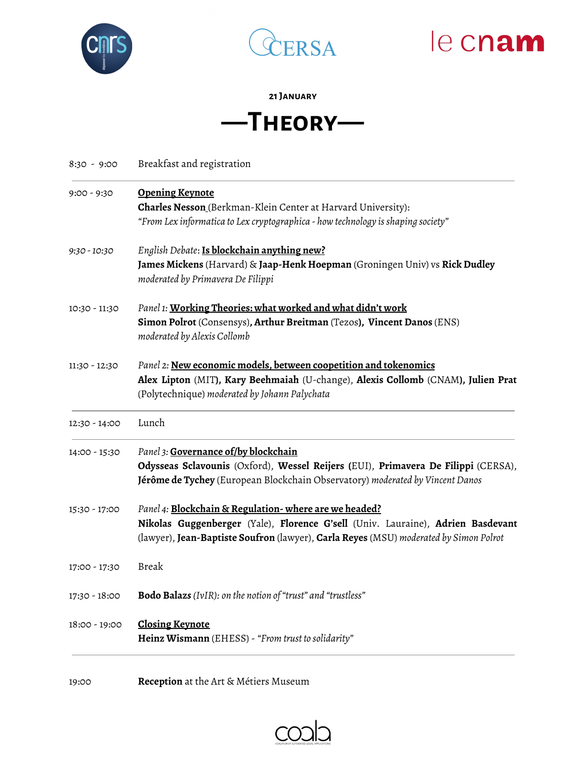





### **21January**

### **—Theory—**

| Breakfast and registration<br>8:30 - 9:00 |
|-------------------------------------------|
|-------------------------------------------|

| <b>Opening Keynote</b><br><b>Charles Nesson</b> (Berkman-Klein Center at Harvard University):<br>"From Lex informatica to Lex cryptographica - how technology is shaping society"                                                 |
|-----------------------------------------------------------------------------------------------------------------------------------------------------------------------------------------------------------------------------------|
| English Debate: Is blockchain anything new?<br>James Mickens (Harvard) & Jaap-Henk Hoepman (Groningen Univ) vs Rick Dudley<br>moderated by Primavera De Filippi                                                                   |
| Panel 1: Working Theories: what worked and what didn't work<br>Simon Polrot (Consensys), Arthur Breitman (Tezos), Vincent Danos (ENS)<br>moderated by Alexis Collomb                                                              |
| Panel 2: New economic models, between coopetition and tokenomics<br>Alex Lipton (MIT), Kary Beehmaiah (U-change), Alexis Collomb (CNAM), Julien Prat<br>(Polytechnique) moderated by Johann Palychata                             |
| Lunch                                                                                                                                                                                                                             |
| Panel 3: Governance of/by blockchain<br>Odysseas Sclavounis (Oxford), Wessel Reijers (EUI), Primavera De Filippi (CERSA),<br>Jérôme de Tychey (European Blockchain Observatory) moderated by Vincent Danos                        |
| Panel 4: Blockchain & Regulation-where are we headed?<br>Nikolas Guggenberger (Yale), Florence G'sell (Univ. Lauraine), Adrien Basdevant<br>(lawyer), Jean-Baptiste Soufron (lawyer), Carla Reyes (MSU) moderated by Simon Polrot |
| <b>Break</b>                                                                                                                                                                                                                      |
| <b>Bodo Balazs</b> (IvIR): on the notion of "trust" and "trustless"                                                                                                                                                               |
| <b>Closing Keynote</b><br>Heinz Wismann (EHESS) - "From trust to solidarity"                                                                                                                                                      |
|                                                                                                                                                                                                                                   |

19:00 **Reception** at the Art & Métiers Museum